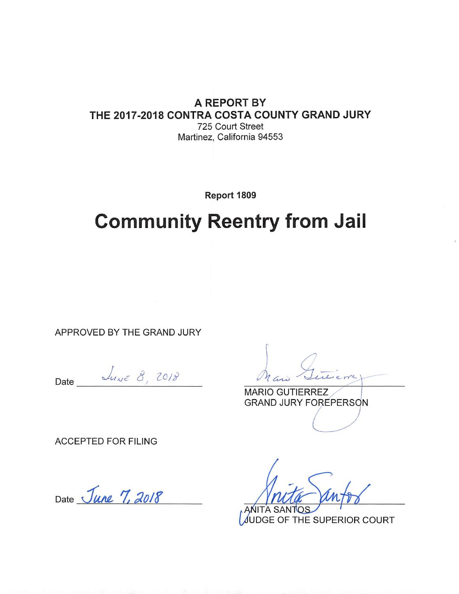## **A REPORT BY** THE 2017-2018 CONTRA COSTA COUNTY GRAND JURY

725 Court Street Martinez, California 94553

Report 1809

# **Community Reentry from Jail**

APPROVED BY THE GRAND JURY

Date  $\frac{d_{\text{uuc}}}{dt}$   $\frac{8}{2018}$ 

MARIO GUTIERREZ **GRAND JURY FOREPERSON** 

**ACCEPTED FOR FILING** 

Date June 7, 2018

ANITA SANTOS

JUDGE OF THE SUPERIOR COURT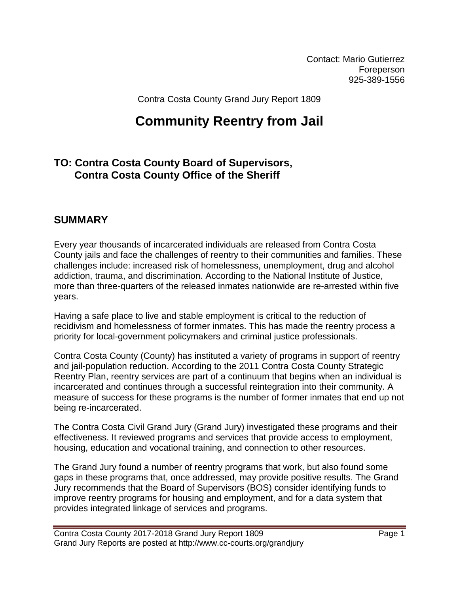Contact: Mario Gutierrez Foreperson 925-389-1556

Contra Costa County Grand Jury Report 1809

## **Community Reentry from Jail**

#### **TO: Contra Costa County Board of Supervisors, Contra Costa County Office of the Sheriff**

#### **SUMMARY**

Every year thousands of incarcerated individuals are released from Contra Costa County jails and face the challenges of reentry to their communities and families. These challenges include: increased risk of homelessness, unemployment, drug and alcohol addiction, trauma, and discrimination. According to the National Institute of Justice, more than three-quarters of the released inmates nationwide are re-arrested within five years.

Having a safe place to live and stable employment is critical to the reduction of recidivism and homelessness of former inmates. This has made the reentry process a priority for local-government policymakers and criminal justice professionals.

Contra Costa County (County) has instituted a variety of programs in support of reentry and jail-population reduction. According to the 2011 Contra Costa County Strategic Reentry Plan, reentry services are part of a continuum that begins when an individual is incarcerated and continues through a successful reintegration into their community. A measure of success for these programs is the number of former inmates that end up not being re-incarcerated.

The Contra Costa Civil Grand Jury (Grand Jury) investigated these programs and their effectiveness. It reviewed programs and services that provide access to employment, housing, education and vocational training, and connection to other resources.

The Grand Jury found a number of reentry programs that work, but also found some gaps in these programs that, once addressed, may provide positive results. The Grand Jury recommends that the Board of Supervisors (BOS) consider identifying funds to improve reentry programs for housing and employment, and for a data system that provides integrated linkage of services and programs.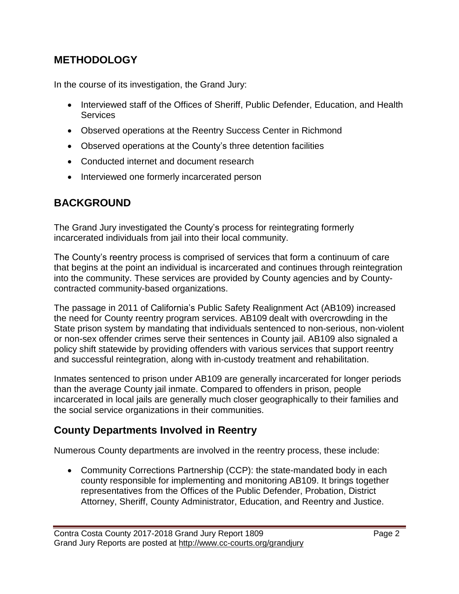#### **METHODOLOGY**

In the course of its investigation, the Grand Jury:

- Interviewed staff of the Offices of Sheriff, Public Defender, Education, and Health **Services**
- Observed operations at the Reentry Success Center in Richmond
- Observed operations at the County's three detention facilities
- Conducted internet and document research
- Interviewed one formerly incarcerated person

## **BACKGROUND**

The Grand Jury investigated the County's process for reintegrating formerly incarcerated individuals from jail into their local community.

The County's reentry process is comprised of services that form a continuum of care that begins at the point an individual is incarcerated and continues through reintegration into the community. These services are provided by County agencies and by Countycontracted community-based organizations.

The passage in 2011 of California's Public Safety Realignment Act (AB109) increased the need for County reentry program services. AB109 dealt with overcrowding in the State prison system by mandating that individuals sentenced to non-serious, non-violent or non-sex offender crimes serve their sentences in County jail. AB109 also signaled a policy shift statewide by providing offenders with various services that support reentry and successful reintegration, along with in-custody treatment and rehabilitation.

Inmates sentenced to prison under AB109 are generally incarcerated for longer periods than the average County jail inmate. Compared to offenders in prison, people incarcerated in local jails are generally much closer geographically to their families and the social service organizations in their communities.

## **County Departments Involved in Reentry**

Numerous County departments are involved in the reentry process, these include:

• Community Corrections Partnership (CCP): the state-mandated body in each county responsible for implementing and monitoring AB109. It brings together representatives from the Offices of the Public Defender, Probation, District Attorney, Sheriff, County Administrator, Education, and Reentry and Justice.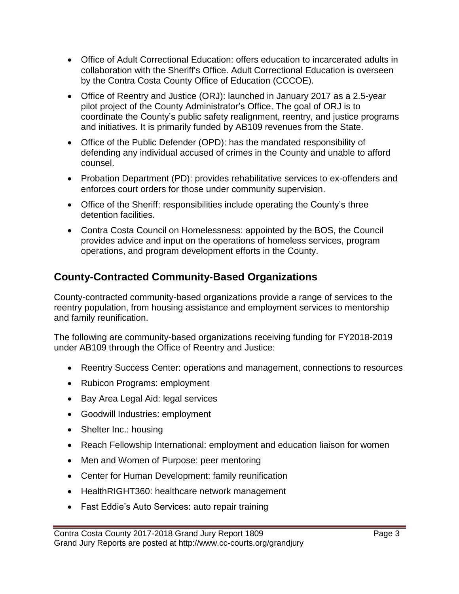- Office of Adult Correctional Education: offers education to incarcerated adults in collaboration with the Sheriff's Office. Adult Correctional Education is overseen by the Contra Costa County Office of Education (CCCOE).
- Office of Reentry and Justice (ORJ): launched in January 2017 as a 2.5-year pilot project of the County Administrator's Office. The goal of ORJ is to coordinate the County's public safety realignment, reentry, and justice programs and initiatives. It is primarily funded by AB109 revenues from the State.
- Office of the Public Defender (OPD): has the mandated responsibility of defending any individual accused of crimes in the County and unable to afford counsel.
- Probation Department (PD): provides rehabilitative services to ex-offenders and enforces court orders for those under community supervision.
- Office of the Sheriff: responsibilities include operating the County's three detention facilities.
- Contra Costa Council on Homelessness: appointed by the BOS, the Council provides advice and input on the operations of homeless services, program operations, and program development efforts in the County.

## **County-Contracted Community-Based Organizations**

County-contracted community-based organizations provide a range of services to the reentry population, from housing assistance and employment services to mentorship and family reunification.

The following are community-based organizations receiving funding for FY2018-2019 under AB109 through the Office of Reentry and Justice:

- Reentry Success Center: operations and management, connections to resources
- Rubicon Programs: employment
- Bay Area Legal Aid: legal services
- Goodwill Industries: employment
- Shelter Inc.: housing
- Reach Fellowship International: employment and education liaison for women
- Men and Women of Purpose: peer mentoring
- Center for Human Development: family reunification
- HealthRIGHT360: healthcare network management
- Fast Eddie's Auto Services: auto repair training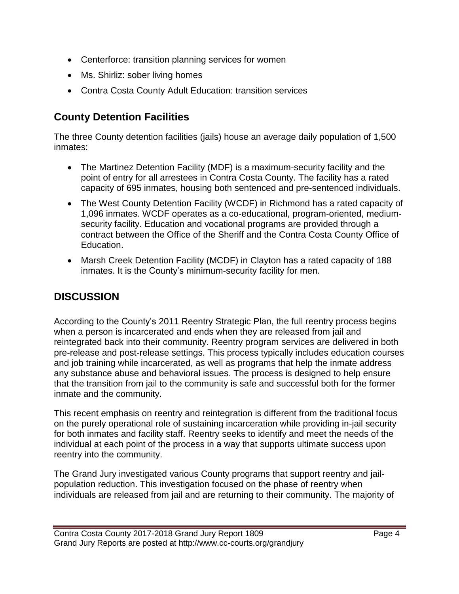- Centerforce: transition planning services for women
- Ms. Shirliz: sober living homes
- Contra Costa County Adult Education: transition services

#### **County Detention Facilities**

The three County detention facilities (jails) house an average daily population of 1,500 inmates:

- The Martinez Detention Facility (MDF) is a maximum-security facility and the point of entry for all arrestees in Contra Costa County. The facility has a rated capacity of 695 inmates, housing both sentenced and pre-sentenced individuals.
- The West County Detention Facility (WCDF) in Richmond has a rated capacity of 1,096 inmates. WCDF operates as a co-educational, program-oriented, mediumsecurity facility. Education and vocational programs are provided through a contract between the Office of the Sheriff and the Contra Costa County Office of Education.
- Marsh Creek Detention Facility (MCDF) in Clayton has a rated capacity of 188 inmates. It is the County's minimum-security facility for men.

### **DISCUSSION**

According to the County's 2011 Reentry Strategic Plan, the full reentry process begins when a person is incarcerated and ends when they are released from jail and reintegrated back into their community. Reentry program services are delivered in both pre-release and post-release settings. This process typically includes education courses and job training while incarcerated, as well as programs that help the inmate address any substance abuse and behavioral issues. The process is designed to help ensure that the transition from jail to the community is safe and successful both for the former inmate and the community.

This recent emphasis on reentry and reintegration is different from the traditional focus on the purely operational role of sustaining incarceration while providing in-jail security for both inmates and facility staff. Reentry seeks to identify and meet the needs of the individual at each point of the process in a way that supports ultimate success upon reentry into the community.

The Grand Jury investigated various County programs that support reentry and jailpopulation reduction. This investigation focused on the phase of reentry when individuals are released from jail and are returning to their community. The majority of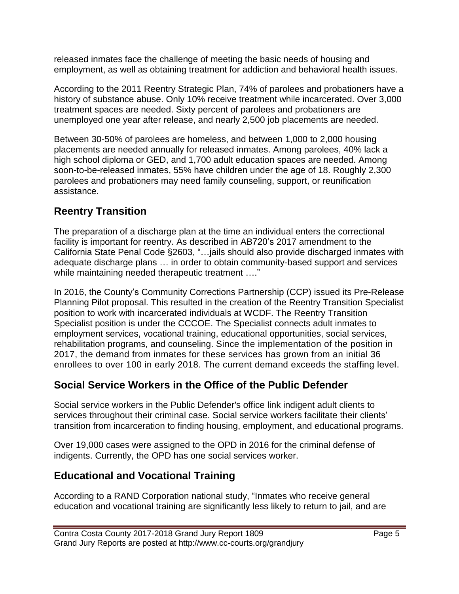released inmates face the challenge of meeting the basic needs of housing and employment, as well as obtaining treatment for addiction and behavioral health issues.

According to the 2011 Reentry Strategic Plan, 74% of parolees and probationers have a history of substance abuse. Only 10% receive treatment while incarcerated. Over 3,000 treatment spaces are needed. Sixty percent of parolees and probationers are unemployed one year after release, and nearly 2,500 job placements are needed.

Between 30-50% of parolees are homeless, and between 1,000 to 2,000 housing placements are needed annually for released inmates. Among parolees, 40% lack a high school diploma or GED, and 1,700 adult education spaces are needed. Among soon-to-be-released inmates, 55% have children under the age of 18. Roughly 2,300 parolees and probationers may need family counseling, support, or reunification assistance.

#### **Reentry Transition**

The preparation of a discharge plan at the time an individual enters the correctional facility is important for reentry. As described in AB720's 2017 amendment to the California State Penal Code §2603, "…jails should also provide discharged inmates with adequate discharge plans … in order to obtain community-based support and services while maintaining needed therapeutic treatment ...."

In 2016, the County's Community Corrections Partnership (CCP) issued its Pre-Release Planning Pilot proposal. This resulted in the creation of the Reentry Transition Specialist position to work with incarcerated individuals at WCDF. The Reentry Transition Specialist position is under the CCCOE. The Specialist connects adult inmates to employment services, vocational training, educational opportunities, social services, rehabilitation programs, and counseling. Since the implementation of the position in 2017, the demand from inmates for these services has grown from an initial 36 enrollees to over 100 in early 2018. The current demand exceeds the staffing level.

#### **Social Service Workers in the Office of the Public Defender**

Social service workers in the Public Defender's office link indigent adult clients to services throughout their criminal case. Social service workers facilitate their clients' transition from incarceration to finding housing, employment, and educational programs.

Over 19,000 cases were assigned to the OPD in 2016 for the criminal defense of indigents. Currently, the OPD has one social services worker.

## **Educational and Vocational Training**

According to a RAND Corporation national study, "Inmates who receive general education and vocational training are significantly less likely to return to jail, and are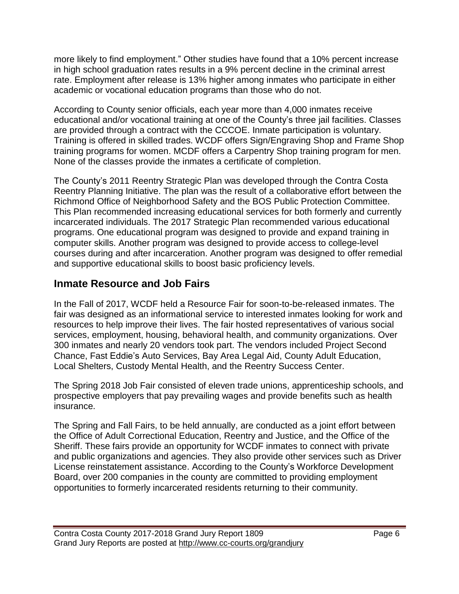more likely to find employment." Other studies have found that a 10% percent increase in high school graduation rates results in a 9% percent decline in the criminal arrest rate. Employment after release is 13% higher among inmates who participate in either academic or vocational education programs than those who do not.

According to County senior officials, each year more than 4,000 inmates receive educational and/or vocational training at one of the County's three jail facilities. Classes are provided through a contract with the CCCOE. Inmate participation is voluntary. Training is offered in skilled trades. WCDF offers Sign/Engraving Shop and Frame Shop training programs for women. MCDF offers a Carpentry Shop training program for men. None of the classes provide the inmates a certificate of completion.

The County's 2011 Reentry Strategic Plan was developed through the Contra Costa Reentry Planning Initiative. The plan was the result of a collaborative effort between the Richmond Office of Neighborhood Safety and the BOS Public Protection Committee. This Plan recommended increasing educational services for both formerly and currently incarcerated individuals. The 2017 Strategic Plan recommended various educational programs. One educational program was designed to provide and expand training in computer skills. Another program was designed to provide access to college-level courses during and after incarceration. Another program was designed to offer remedial and supportive educational skills to boost basic proficiency levels.

#### **Inmate Resource and Job Fairs**

In the Fall of 2017, WCDF held a Resource Fair for soon-to-be-released inmates. The fair was designed as an informational service to interested inmates looking for work and resources to help improve their lives. The fair hosted representatives of various social services, employment, housing, behavioral health, and community organizations. Over 300 inmates and nearly 20 vendors took part. The vendors included Project Second Chance, Fast Eddie's Auto Services, Bay Area Legal Aid, County Adult Education, Local Shelters, Custody Mental Health, and the Reentry Success Center.

The Spring 2018 Job Fair consisted of eleven trade unions, apprenticeship schools, and prospective employers that pay prevailing wages and provide benefits such as health insurance.

The Spring and Fall Fairs, to be held annually, are conducted as a joint effort between the Office of Adult Correctional Education, Reentry and Justice, and the Office of the Sheriff. These fairs provide an opportunity for WCDF inmates to connect with private and public organizations and agencies. They also provide other services such as Driver License reinstatement assistance. According to the County's Workforce Development Board, over 200 companies in the county are committed to providing employment opportunities to formerly incarcerated residents returning to their community.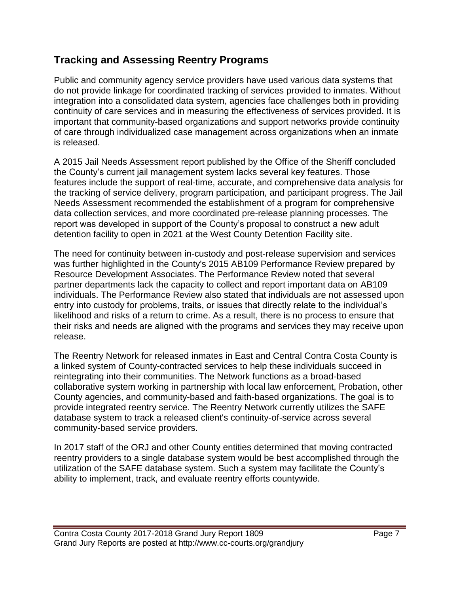#### **Tracking and Assessing Reentry Programs**

Public and community agency service providers have used various data systems that do not provide linkage for coordinated tracking of services provided to inmates. Without integration into a consolidated data system, agencies face challenges both in providing continuity of care services and in measuring the effectiveness of services provided. It is important that community-based organizations and support networks provide continuity of care through individualized case management across organizations when an inmate is released.

A 2015 Jail Needs Assessment report published by the Office of the Sheriff concluded the County's current jail management system lacks several key features. Those features include the support of real-time, accurate, and comprehensive data analysis for the tracking of service delivery, program participation, and participant progress. The Jail Needs Assessment recommended the establishment of a program for comprehensive data collection services, and more coordinated pre-release planning processes. The report was developed in support of the County's proposal to construct a new adult detention facility to open in 2021 at the West County Detention Facility site.

The need for continuity between in-custody and post-release supervision and services was further highlighted in the County's 2015 AB109 Performance Review prepared by Resource Development Associates. The Performance Review noted that several partner departments lack the capacity to collect and report important data on AB109 individuals. The Performance Review also stated that individuals are not assessed upon entry into custody for problems, traits, or issues that directly relate to the individual's likelihood and risks of a return to crime. As a result, there is no process to ensure that their risks and needs are aligned with the programs and services they may receive upon release.

The Reentry Network for released inmates in East and Central Contra Costa County is a linked system of County-contracted services to help these individuals succeed in reintegrating into their communities. The Network functions as a broad-based collaborative system working in partnership with local law enforcement, Probation, other County agencies, and community-based and faith-based organizations. The goal is to provide integrated reentry service. The Reentry Network currently utilizes the SAFE database system to track a released client's continuity-of-service across several community-based service providers.

In 2017 staff of the ORJ and other County entities determined that moving contracted reentry providers to a single database system would be best accomplished through the utilization of the SAFE database system. Such a system may facilitate the County's ability to implement, track, and evaluate reentry efforts countywide.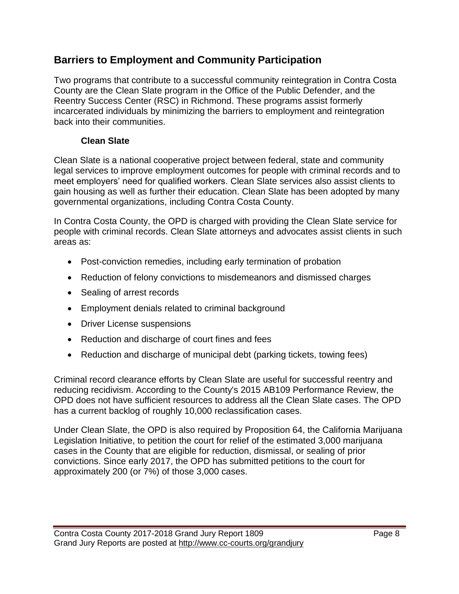#### **Barriers to Employment and Community Participation**

Two programs that contribute to a successful community reintegration in Contra Costa County are the Clean Slate program in the Office of the Public Defender, and the Reentry Success Center (RSC) in Richmond. These programs assist formerly incarcerated individuals by minimizing the barriers to employment and reintegration back into their communities.

#### **Clean Slate**

Clean Slate is a national cooperative project between federal, state and community legal services to improve employment outcomes for people with criminal records and to meet employers' need for qualified workers. Clean Slate services also assist clients to gain housing as well as further their education. Clean Slate has been adopted by many governmental organizations, including Contra Costa County.

In Contra Costa County, the OPD is charged with providing the Clean Slate service for people with criminal records. Clean Slate attorneys and advocates assist clients in such areas as:

- Post-conviction remedies, including early termination of probation
- Reduction of felony convictions to misdemeanors and dismissed charges
- Sealing of arrest records
- Employment denials related to criminal background
- Driver License suspensions
- Reduction and discharge of court fines and fees
- Reduction and discharge of municipal debt (parking tickets, towing fees)

Criminal record clearance efforts by Clean Slate are useful for successful reentry and reducing recidivism. According to the County's 2015 AB109 Performance Review, the OPD does not have sufficient resources to address all the Clean Slate cases. The OPD has a current backlog of roughly 10,000 reclassification cases.

Under Clean Slate, the OPD is also required by Proposition 64, the California Marijuana Legislation Initiative, to petition the court for relief of the estimated 3,000 marijuana cases in the County that are eligible for reduction, dismissal, or sealing of prior convictions. Since early 2017, the OPD has submitted petitions to the court for approximately 200 (or 7%) of those 3,000 cases.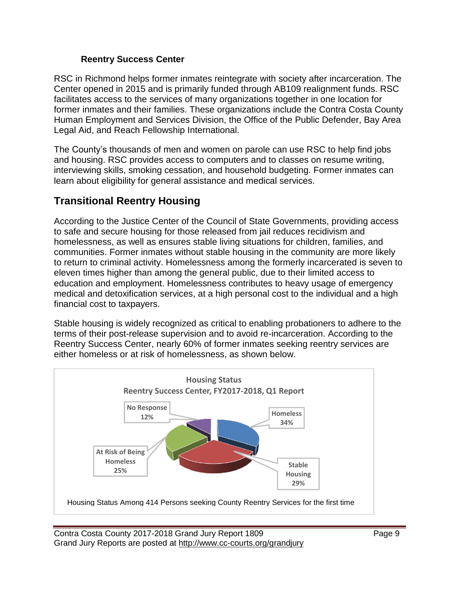#### **Reentry Success Center**

RSC in Richmond helps former inmates reintegrate with society after incarceration. The Center opened in 2015 and is primarily funded through AB109 realignment funds. RSC facilitates access to the services of many organizations together in one location for former inmates and their families. These organizations include the Contra Costa County Human Employment and Services Division, the Office of the Public Defender, Bay Area Legal Aid, and Reach Fellowship International.

The County's thousands of men and women on parole can use RSC to help find jobs and housing. RSC provides access to computers and to classes on resume writing, interviewing skills, smoking cessation, and household budgeting. Former inmates can learn about eligibility for general assistance and medical services.

#### **Transitional Reentry Housing**

According to the Justice Center of the Council of State Governments, providing access to safe and secure housing for those released from jail reduces recidivism and homelessness, as well as ensures stable living situations for children, families, and communities. Former inmates without stable housing in the community are more likely to return to criminal activity. Homelessness among the formerly incarcerated is seven to eleven times higher than among the general public, due to their limited access to education and employment. Homelessness contributes to heavy usage of emergency medical and detoxification services, at a high personal cost to the individual and a high financial cost to taxpayers.

Stable housing is widely recognized as critical to enabling probationers to adhere to the terms of their post-release supervision and to avoid re-incarceration. According to the Reentry Success Center, nearly 60% of former inmates seeking reentry services are either homeless or at risk of homelessness, as shown below.

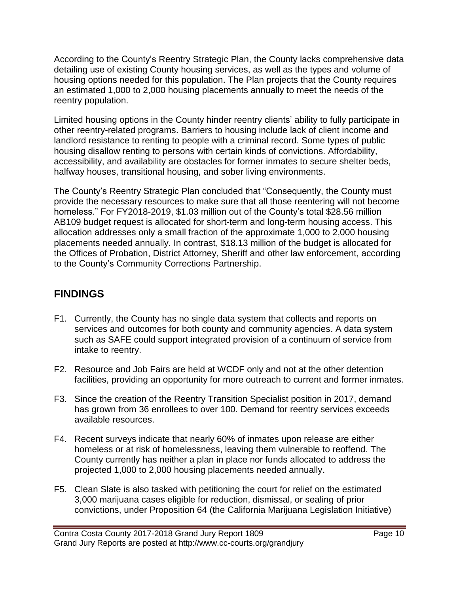According to the County's Reentry Strategic Plan, the County lacks comprehensive data detailing use of existing County housing services, as well as the types and volume of housing options needed for this population. The Plan projects that the County requires an estimated 1,000 to 2,000 housing placements annually to meet the needs of the reentry population.

Limited housing options in the County hinder reentry clients' ability to fully participate in other reentry-related programs. Barriers to housing include lack of client income and landlord resistance to renting to people with a criminal record. Some types of public housing disallow renting to persons with certain kinds of convictions. Affordability, accessibility, and availability are obstacles for former inmates to secure shelter beds, halfway houses, transitional housing, and sober living environments.

The County's Reentry Strategic Plan concluded that "Consequently, the County must provide the necessary resources to make sure that all those reentering will not become homeless." For FY2018-2019, \$1.03 million out of the County's total \$28.56 million AB109 budget request is allocated for short-term and long-term housing access. This allocation addresses only a small fraction of the approximate 1,000 to 2,000 housing placements needed annually. In contrast, \$18.13 million of the budget is allocated for the Offices of Probation, District Attorney, Sheriff and other law enforcement, according to the County's Community Corrections Partnership.

## **FINDINGS**

- F1. Currently, the County has no single data system that collects and reports on services and outcomes for both county and community agencies. A data system such as SAFE could support integrated provision of a continuum of service from intake to reentry.
- F2. Resource and Job Fairs are held at WCDF only and not at the other detention facilities, providing an opportunity for more outreach to current and former inmates.
- F3. Since the creation of the Reentry Transition Specialist position in 2017, demand has grown from 36 enrollees to over 100. Demand for reentry services exceeds available resources.
- F4. Recent surveys indicate that nearly 60% of inmates upon release are either homeless or at risk of homelessness, leaving them vulnerable to reoffend. The County currently has neither a plan in place nor funds allocated to address the projected 1,000 to 2,000 housing placements needed annually.
- F5. Clean Slate is also tasked with petitioning the court for relief on the estimated 3,000 marijuana cases eligible for reduction, dismissal, or sealing of prior convictions, under Proposition 64 (the California Marijuana Legislation Initiative)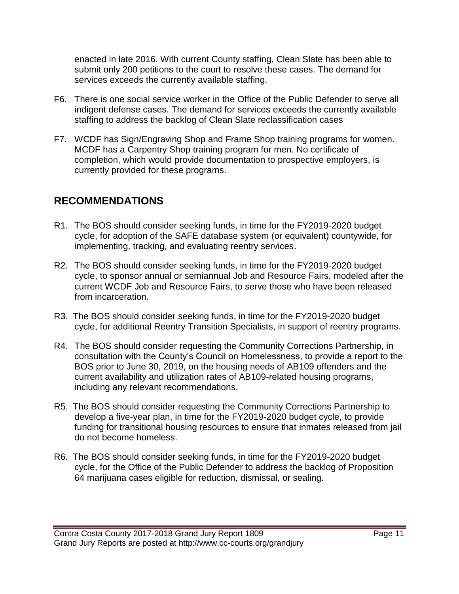enacted in late 2016. With current County staffing, Clean Slate has been able to submit only 200 petitions to the court to resolve these cases. The demand for services exceeds the currently available staffing.

- F6. There is one social service worker in the Office of the Public Defender to serve all indigent defense cases. The demand for services exceeds the currently available staffing to address the backlog of Clean Slate reclassification cases
- F7. WCDF has Sign/Engraving Shop and Frame Shop training programs for women. MCDF has a Carpentry Shop training program for men. No certificate of completion, which would provide documentation to prospective employers, is currently provided for these programs.

#### **RECOMMENDATIONS**

- R1. The BOS should consider seeking funds, in time for the FY2019-2020 budget cycle, for adoption of the SAFE database system (or equivalent) countywide, for implementing, tracking, and evaluating reentry services.
- R2. The BOS should consider seeking funds, in time for the FY2019-2020 budget cycle, to sponsor annual or semiannual Job and Resource Fairs, modeled after the current WCDF Job and Resource Fairs, to serve those who have been released from incarceration.
- R3. The BOS should consider seeking funds, in time for the FY2019-2020 budget cycle, for additional Reentry Transition Specialists, in support of reentry programs.
- R4. The BOS should consider requesting the Community Corrections Partnership, in consultation with the County's Council on Homelessness, to provide a report to the BOS prior to June 30, 2019, on the housing needs of AB109 offenders and the current availability and utilization rates of AB109-related housing programs, including any relevant recommendations.
- R5. The BOS should consider requesting the Community Corrections Partnership to develop a five-year plan, in time for the FY2019-2020 budget cycle, to provide funding for transitional housing resources to ensure that inmates released from jail do not become homeless.
- R6. The BOS should consider seeking funds, in time for the FY2019-2020 budget cycle, for the Office of the Public Defender to address the backlog of Proposition 64 marijuana cases eligible for reduction, dismissal, or sealing.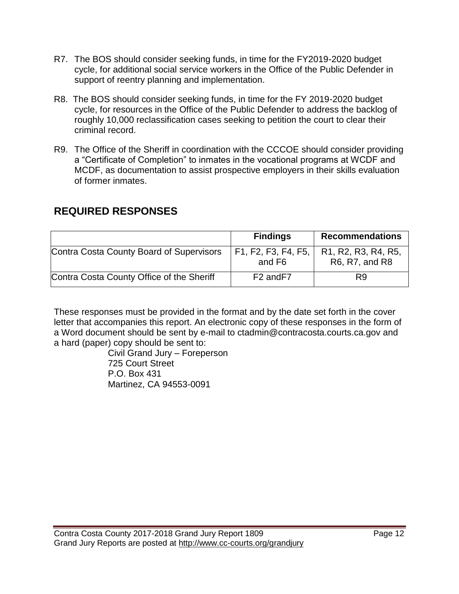- R7. The BOS should consider seeking funds, in time for the FY2019-2020 budget cycle, for additional social service workers in the Office of the Public Defender in support of reentry planning and implementation.
- R8. The BOS should consider seeking funds, in time for the FY 2019-2020 budget cycle, for resources in the Office of the Public Defender to address the backlog of roughly 10,000 reclassification cases seeking to petition the court to clear their criminal record.
- R9. The Office of the Sheriff in coordination with the CCCOE should consider providing a "Certificate of Completion" to inmates in the vocational programs at WCDF and MCDF, as documentation to assist prospective employers in their skills evaluation of former inmates.

|                                           | <b>Findings</b>                   | <b>Recommendations</b>                                                                                 |
|-------------------------------------------|-----------------------------------|--------------------------------------------------------------------------------------------------------|
| Contra Costa County Board of Supervisors  | F1, F2, F3, F4, F5,<br>and F6     | R <sub>1</sub> , R <sub>2</sub> , R <sub>3</sub> , R <sub>4</sub> , R <sub>5</sub> ,<br>R6, R7, and R8 |
| Contra Costa County Office of the Sheriff | F <sub>2</sub> and F <sub>7</sub> | R9                                                                                                     |

#### **REQUIRED RESPONSES**

These responses must be provided in the format and by the date set forth in the cover letter that accompanies this report. An electronic copy of these responses in the form of a Word document should be sent by e-mail to [ctadmin@contracosta.courts.ca.gov](mailto:clope2@contracosta.courts.ca.gov) and a hard (paper) copy should be sent to:

Civil Grand Jury – Foreperson 725 Court Street P.O. Box 431 Martinez, CA 94553-0091